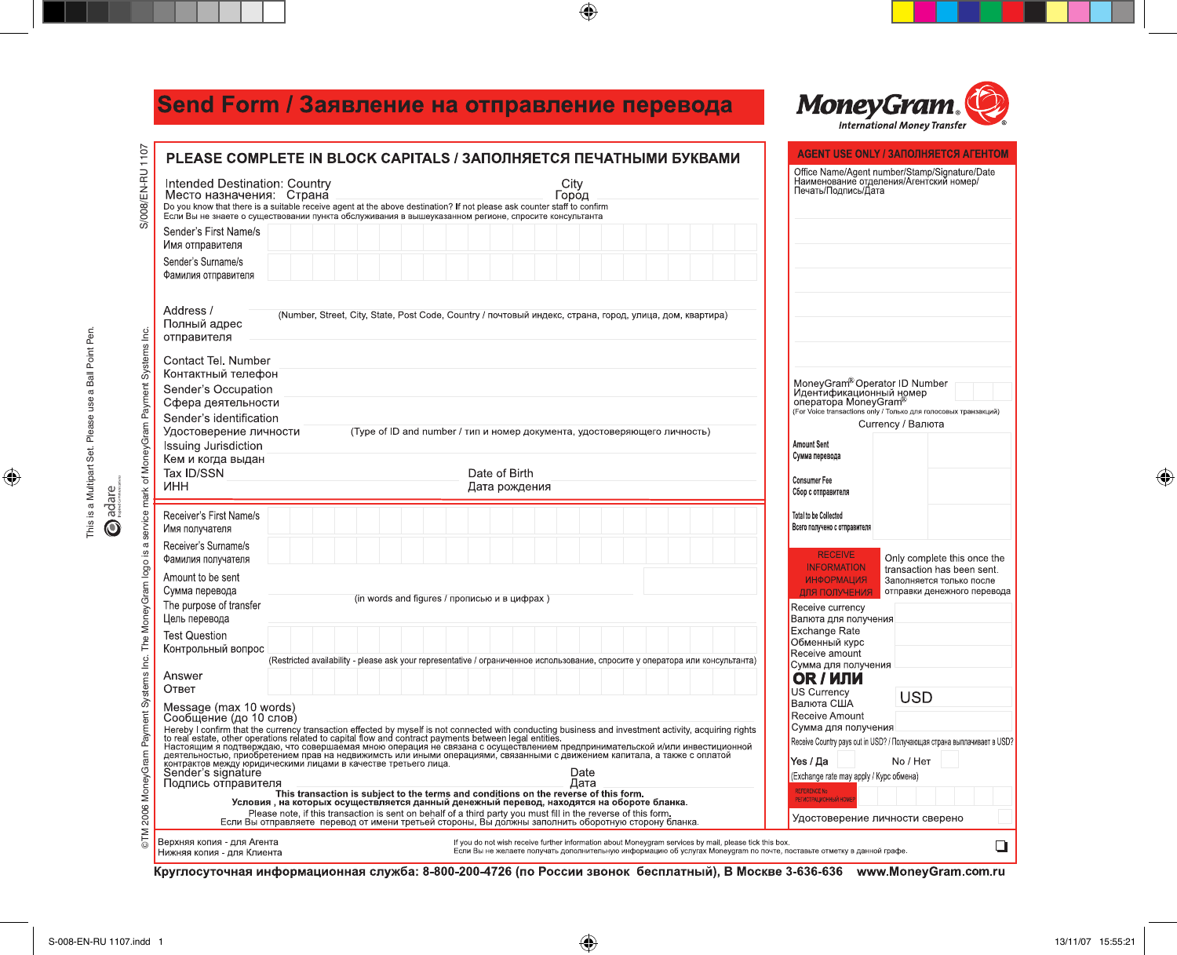## Send Form / Заявление на отправление перевода



|                                                                                                                | <b>AGENT USE ONLY / ЗАПОЛНЯЕТСЯ AГЕНТОМ</b><br>PLEASE COMPLETE IN BLOCK CAPITALS / ЗАПОЛНЯЕТСЯ ПЕЧАТНЫМИ БУКВАМИ                                                                                                                                                                                                                                                                                                                                                                                                                     |                                                                                                                                                                                                                                 |                                                              |   |  |
|----------------------------------------------------------------------------------------------------------------|--------------------------------------------------------------------------------------------------------------------------------------------------------------------------------------------------------------------------------------------------------------------------------------------------------------------------------------------------------------------------------------------------------------------------------------------------------------------------------------------------------------------------------------|---------------------------------------------------------------------------------------------------------------------------------------------------------------------------------------------------------------------------------|--------------------------------------------------------------|---|--|
| S/008/EN-RU 1107                                                                                               | Office Name/Agent number/Stamp/Signature/Date<br>Наименование отделения/Агентский номер/<br>Печать/Подпись/Дата<br>Intended Destination: Country<br>City<br>Место назначения: Страна<br>Город<br>Do you know that there is a suitable receive agent at the above destination? If not please ask counter staff to confirm<br>Если Вы не знаете о существовании пункта обслуживания в вышеуказанном регионе, спросите консультанта                                                                                                     |                                                                                                                                                                                                                                 |                                                              |   |  |
|                                                                                                                | Sender's First Name/s<br>Имя отправителя                                                                                                                                                                                                                                                                                                                                                                                                                                                                                             |                                                                                                                                                                                                                                 |                                                              |   |  |
|                                                                                                                | Sender's Surname/s<br>Фамилия отправителя                                                                                                                                                                                                                                                                                                                                                                                                                                                                                            |                                                                                                                                                                                                                                 |                                                              |   |  |
|                                                                                                                | Address /<br>(Number, Street, City, State, Post Code, Country / почтовый индекс, страна, город, улица, дом, квартира)<br>Полный адрес<br>отправителя                                                                                                                                                                                                                                                                                                                                                                                 |                                                                                                                                                                                                                                 |                                                              |   |  |
|                                                                                                                | Contact Tel. Number                                                                                                                                                                                                                                                                                                                                                                                                                                                                                                                  |                                                                                                                                                                                                                                 |                                                              |   |  |
|                                                                                                                | Контактный телефон<br>Sender's Occupation                                                                                                                                                                                                                                                                                                                                                                                                                                                                                            | MoneyGram <sup>®</sup> Operator ID Number<br>Идентификационный номер<br>оператора MoneyGram <sup>®</sup><br>(For Voice transactions only / Только для голосовых транзакций)<br>Currency / Валюта                                |                                                              |   |  |
|                                                                                                                | Сфера деятельности                                                                                                                                                                                                                                                                                                                                                                                                                                                                                                                   |                                                                                                                                                                                                                                 |                                                              |   |  |
|                                                                                                                | Sender's identification<br>Удостоверение личности<br>(Type of ID and number / тип и номер документа, удостоверяющего личность)                                                                                                                                                                                                                                                                                                                                                                                                       |                                                                                                                                                                                                                                 |                                                              |   |  |
|                                                                                                                | Issuing Jurisdiction                                                                                                                                                                                                                                                                                                                                                                                                                                                                                                                 | <b>Amount Sent</b><br>Сумма перевода                                                                                                                                                                                            |                                                              |   |  |
|                                                                                                                | Кем и когда выдан<br>Tax ID/SSN<br>Date of Birth                                                                                                                                                                                                                                                                                                                                                                                                                                                                                     |                                                                                                                                                                                                                                 |                                                              |   |  |
|                                                                                                                | инн<br>Дата рождения                                                                                                                                                                                                                                                                                                                                                                                                                                                                                                                 | <b>Consumer Fee</b><br>Сбор с отправителя                                                                                                                                                                                       |                                                              |   |  |
|                                                                                                                | Receiver's First Name/s<br>Имя получателя                                                                                                                                                                                                                                                                                                                                                                                                                                                                                            |                                                                                                                                                                                                                                 | <b>Total to be Collected</b><br>Всего получено с отправителя |   |  |
| ©TM 2006 MoneyGram Payment Systems Inc. The MoneyGram logo is a service mark of MoneyGram Payment Systems Inc. | Receiver's Surname/s<br><b>RECEIVE</b><br>Only complete this once the<br>Фамилия получателя<br><b>INFORMATION</b><br>transaction has been sent.                                                                                                                                                                                                                                                                                                                                                                                      |                                                                                                                                                                                                                                 |                                                              |   |  |
|                                                                                                                | Amount to be sent<br>Сумма перевода                                                                                                                                                                                                                                                                                                                                                                                                                                                                                                  | <b>ИНФОРМАЦИЯ</b><br>ДЛЯ ПОЛУЧЕНИЯ                                                                                                                                                                                              | Заполняется только после<br>отправки денежного перевода      |   |  |
|                                                                                                                | (in words and figures / прописью и в цифрах)<br>The purpose of transfer                                                                                                                                                                                                                                                                                                                                                                                                                                                              | Receive currency                                                                                                                                                                                                                |                                                              |   |  |
|                                                                                                                | Цель перевода<br><b>Test Question</b>                                                                                                                                                                                                                                                                                                                                                                                                                                                                                                |                                                                                                                                                                                                                                 | Валюта для получения<br><b>Exchange Rate</b>                 |   |  |
|                                                                                                                | Контрольный вопрос<br>(Restricted availability - please ask your representative / ограниченное использование, спросите у оператора или консультанта)                                                                                                                                                                                                                                                                                                                                                                                 |                                                                                                                                                                                                                                 | Обменный курс<br>Receive amount                              |   |  |
|                                                                                                                | Answer                                                                                                                                                                                                                                                                                                                                                                                                                                                                                                                               |                                                                                                                                                                                                                                 | Сумма для получения<br>OR / ИЛИ                              |   |  |
|                                                                                                                | Ответ                                                                                                                                                                                                                                                                                                                                                                                                                                                                                                                                |                                                                                                                                                                                                                                 | <b>US Currency</b><br><b>USD</b>                             |   |  |
|                                                                                                                | Валюта США<br>Message (max 10 words)<br>Receive Amount<br>Сообщение (до 10 слов)                                                                                                                                                                                                                                                                                                                                                                                                                                                     |                                                                                                                                                                                                                                 |                                                              |   |  |
|                                                                                                                | Сумма для получения<br>Hereby I confirm that the currency transaction effected by myself is not connected with conducting business and investment activity, acquiring rights<br>to real estate, other operations related to capital flow and contract p<br>Receive Country pays out in USD? / Получающая страна выплачивает в USD?<br>Yes / Да<br>No / Her<br>контрактов между юридическими лицами в качестве третьего лица.<br>Sender's signature<br>Date<br>(Exchange rate may apply / Курс обмена)<br>Дата<br>Подпись отправителя |                                                                                                                                                                                                                                 |                                                              |   |  |
|                                                                                                                | <b>REFERENCE No</b><br>РЕГИСТРАЦИОННЫЙ НОМЕ                                                                                                                                                                                                                                                                                                                                                                                                                                                                                          |                                                                                                                                                                                                                                 |                                                              |   |  |
|                                                                                                                | Please note, if this transaction is sent on behalf of a third party you must fill in the reverse of this form.<br>Удостоверение личности сверено<br>Если Вы отправляете перевод от имени третьей стороны, Вы должны заполнить оборотную сторону бланка.                                                                                                                                                                                                                                                                              |                                                                                                                                                                                                                                 |                                                              |   |  |
|                                                                                                                | Верхняя копия - для Агента<br>Нижняя копия - для Клиента                                                                                                                                                                                                                                                                                                                                                                                                                                                                             | If you do not wish receive further information about Moneygram services by mail, please tick this box.<br>Если Вы не желаете получать дополнительную информацию об услугах Moneygram по почте, поставьте отметку в данной графе |                                                              | ❏ |  |

 $\bigoplus$ 

Круглосуточная информационная служба: 8-800-200-4726 (по России звонок бесплатный), В Москве 3-636-636 www.MoneyGram.com.ru

 $\bigoplus$ 

 $\bigoplus$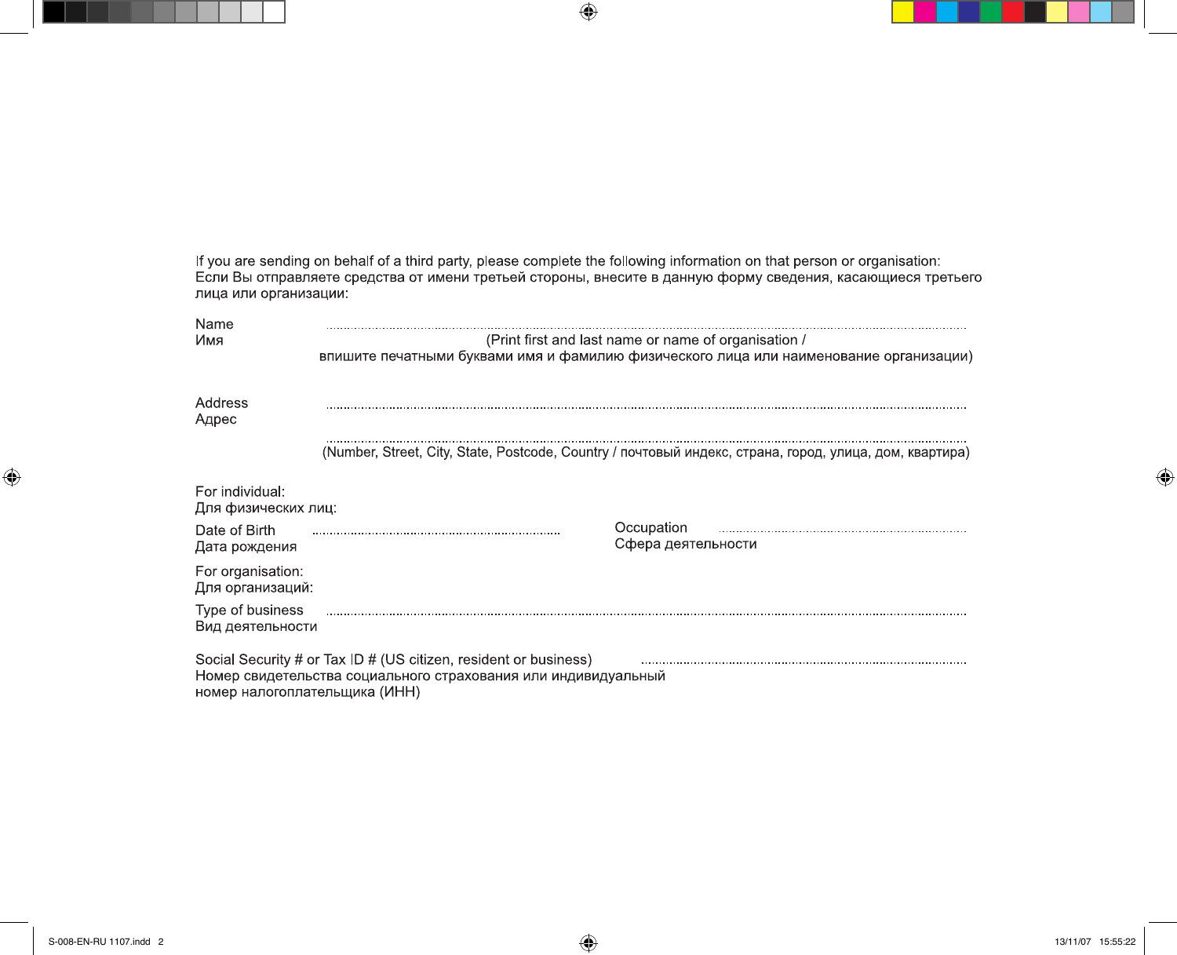If you are sending on behalf of a third party, please complete the following information on that person or organisation:<br>Если Вы отправляете средства от имени третьей стороны, внесите в данную форму сведения, касающиеся т лица или организации:

 $\bigoplus$ 

| Name<br>Имя                                                                                                                                                         | (Print first and last name or name of organisation /<br>впишите печатными буквами имя и фамилию физического лица или наименование организации) |                                  |  |  |  |  |
|---------------------------------------------------------------------------------------------------------------------------------------------------------------------|------------------------------------------------------------------------------------------------------------------------------------------------|----------------------------------|--|--|--|--|
| Address<br>Адрес                                                                                                                                                    |                                                                                                                                                |                                  |  |  |  |  |
|                                                                                                                                                                     | (Number, Street, City, State, Postcode, Country / почтовый индекс, страна, город, улица, дом, квартира)                                        |                                  |  |  |  |  |
| For individual:<br>Для физических лиц:                                                                                                                              |                                                                                                                                                |                                  |  |  |  |  |
| Date of Birth<br>Дата рождения                                                                                                                                      |                                                                                                                                                | Occupation<br>Сфера деятельности |  |  |  |  |
| For organisation:<br>Для организаций:                                                                                                                               |                                                                                                                                                |                                  |  |  |  |  |
| Type of business<br>Вид деятельности                                                                                                                                |                                                                                                                                                |                                  |  |  |  |  |
| Social Security # or Tax ID # (US citizen, resident or business)<br>Номер свидетельства социального страхования или индивидуальный<br>номер налогоплательщика (ИНН) |                                                                                                                                                |                                  |  |  |  |  |

 $\bigoplus$ 

⊕

 $\bigoplus$